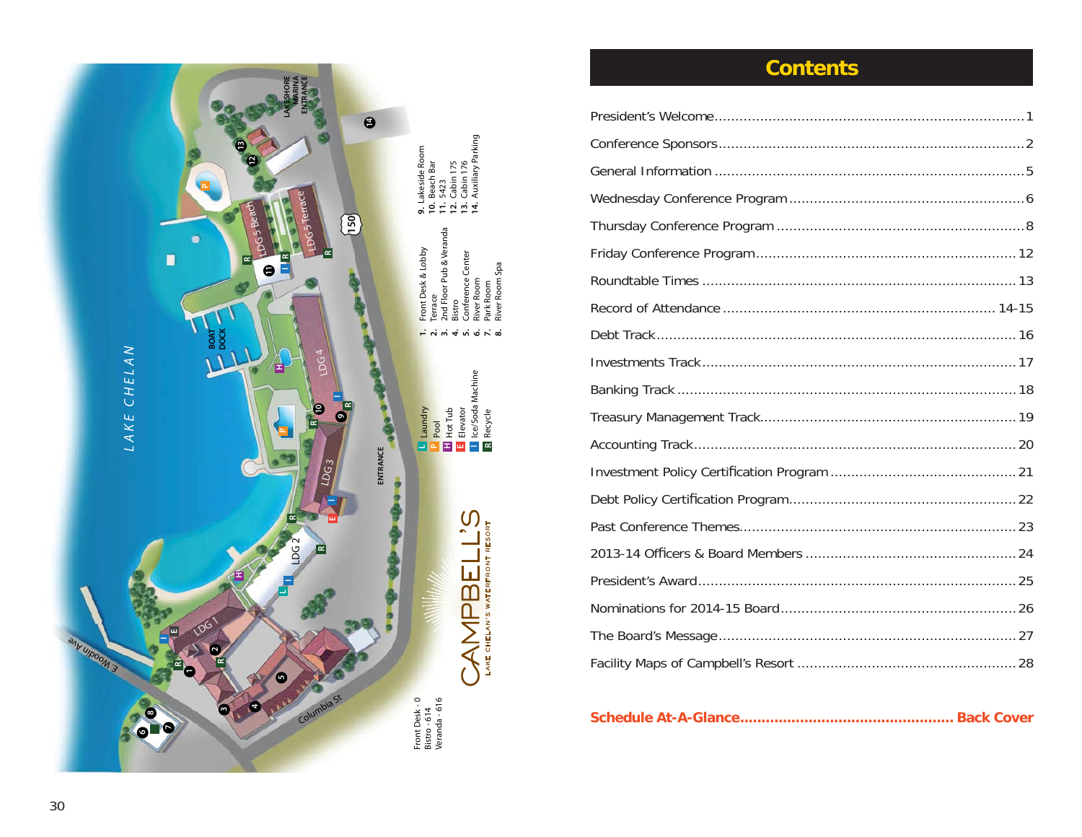

### **Contents**

**Schedule At-A-Glance .................................................. Back Cover**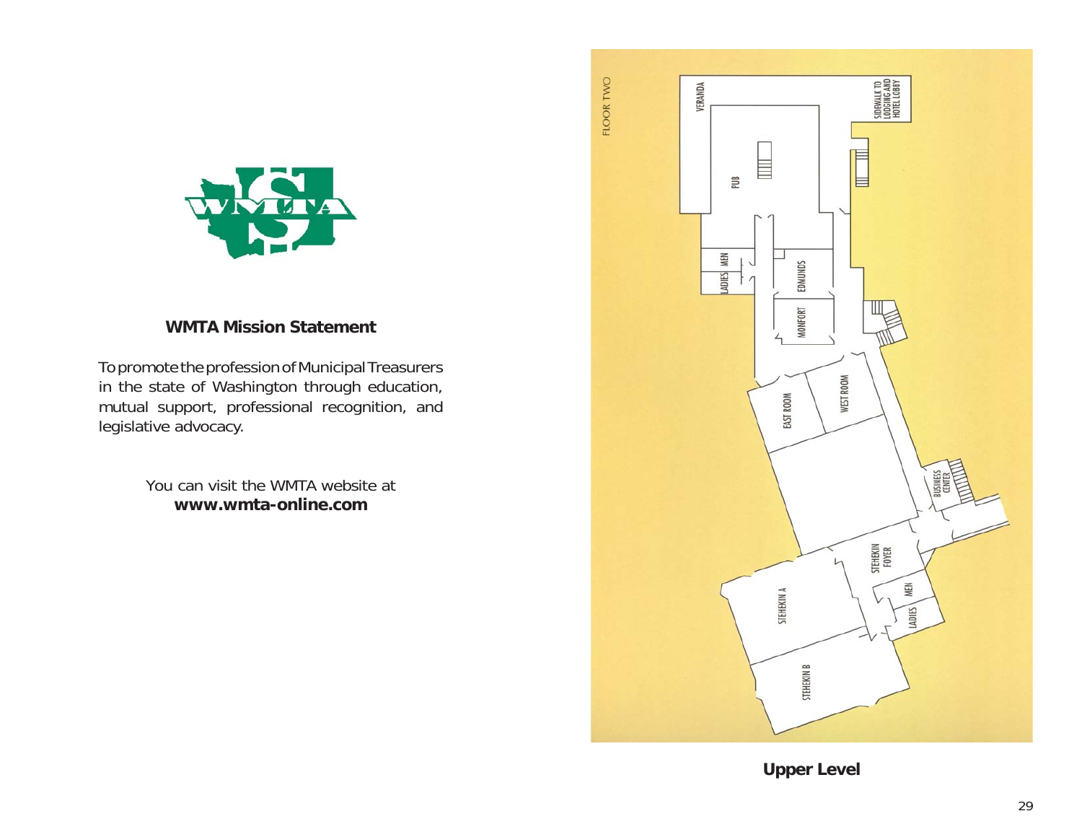

### **WMTA Mission Statement**

To promote the profession of Municipal Treasurers in the state of Washington through education, mutual support, professional recognition, and legislative advocacy.

> You can visit the WMTA website at **www.wmta-online.com**



**Upper Level**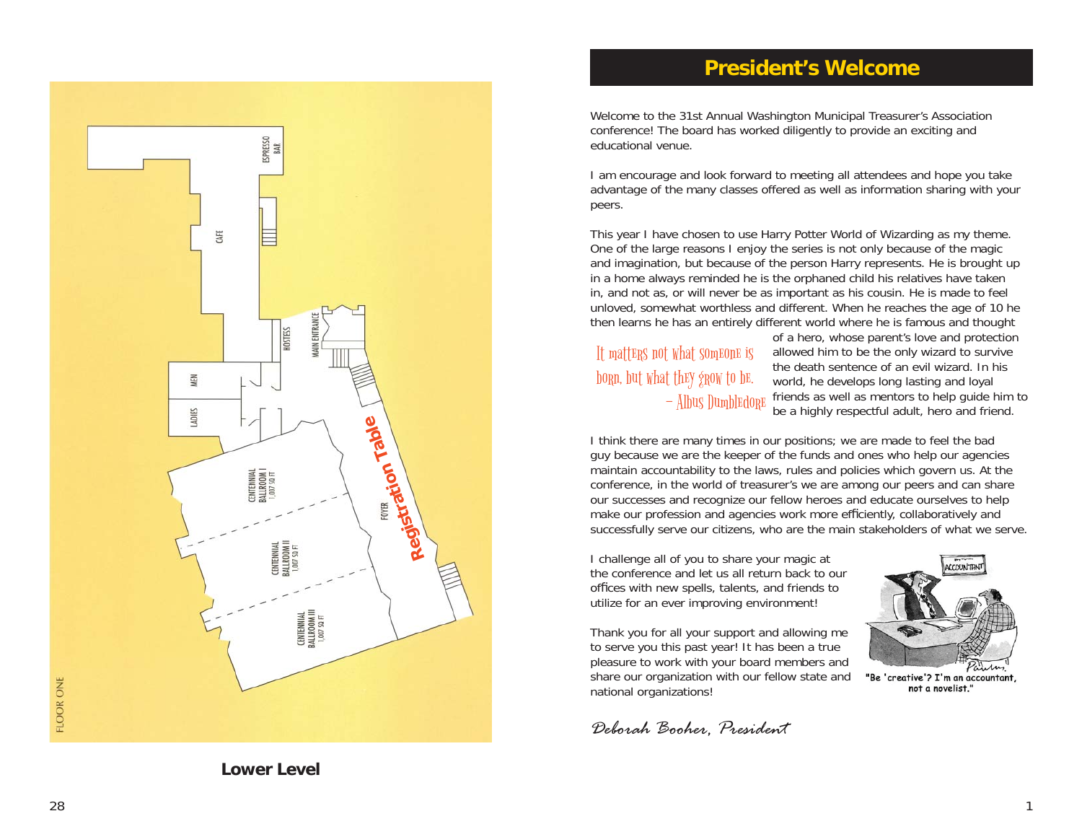

Welcome to the 31st Annual Washington Municipal Treasurer's Association conference! The board has worked diligently to provide an exciting and educational venue.

I am encourage and look forward to meeting all attendees and hope you take advantage of the many classes offered as well as information sharing with your peers.

This year I have chosen to use Harry Potter World of Wizarding as my theme. One of the large reasons I enjoy the series is not only because of the magic and imagination, but because of the person Harry represents. He is brought up in a home always reminded he is the orphaned child his relatives have taken in, and not as, or will never be as important as his cousin. He is made to feel unloved, somewhat worthless and different. When he reaches the age of 10 he then learns he has an entirely different world where he is famous and thought

### It matters not what someone is born, but what they grow to be. – Albus Dumbledore

of a hero, whose parent's love and protection allowed him to be the only wizard to survive the death sentence of an evil wizard. In his world, he develops long lasting and loyal friends as well as mentors to help guide him to be a highly respectful adult, hero and friend.

I think there are many times in our positions; we are made to feel the bad guy because we are the keeper of the funds and ones who help our agencies maintain accountability to the laws, rules and policies which govern us. At the conference, in the world of treasurer's we are among our peers and can share our successes and recognize our fellow heroes and educate ourselves to help make our profession and agencies work more efficiently, collaboratively and successfully serve our citizens, who are the main stakeholders of what we serve.

I challenge all of you to share your magic at the conference and let us all return back to our offices with new spells, talents, and friends to utilize for an ever improving environment!

Thank you for all your support and allowing me to serve you this past year! It has been a true pleasure to work with your board members and share our organization with our fellow state and national organizations!

*Deborah Booher, President*

**ACCOUNTING** 

"Be 'creative'? I'm an accountant, not a novelist."



**Lower Level**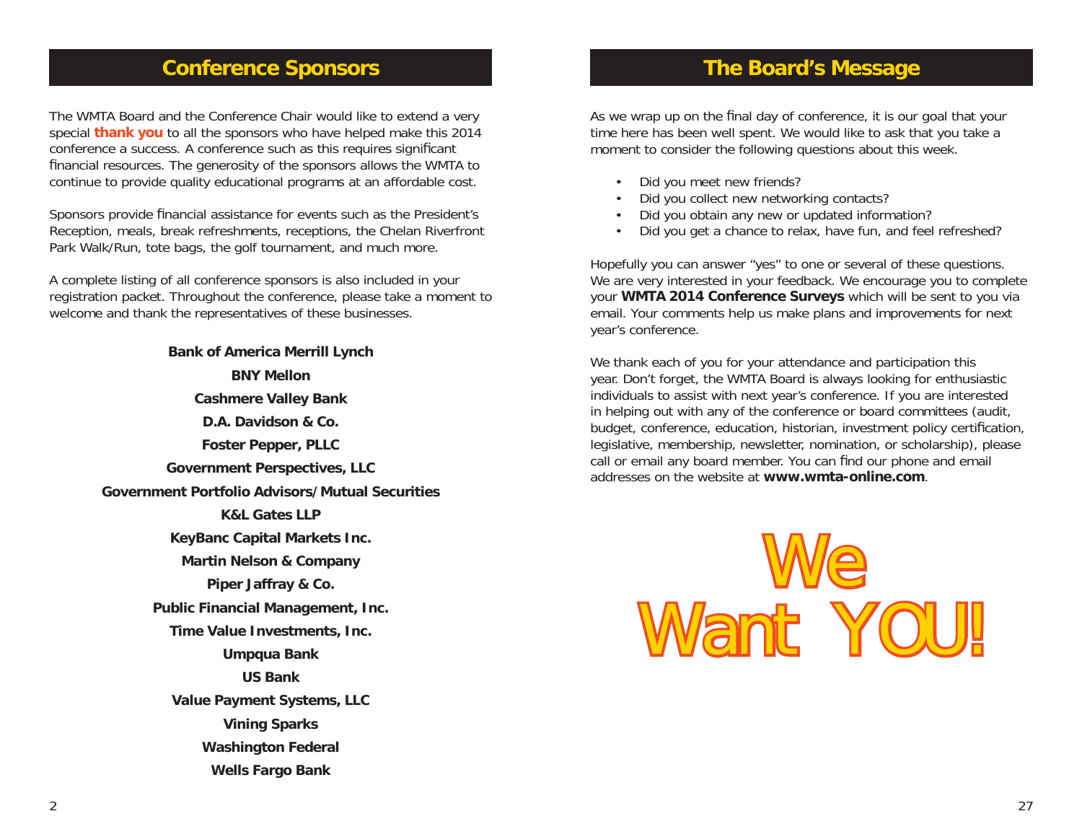### **Conference Sponsors**

The WMTA Board and the Conference Chair would like to extend a very special **thank you** to all the sponsors who have helped make this 2014 conference a success. A conference such as this requires significant financial resources. The generosity of the sponsors allows the WMTA to continue to provide quality educational programs at an affordable cost.

Sponsors provide financial assistance for events such as the President's Reception, meals, break refreshments, receptions, the Chelan Riverfront Park Walk/Run, tote bags, the golf tournament, and much more.

A complete listing of all conference sponsors is also included in your registration packet. Throughout the conference, please take a moment to welcome and thank the representatives of these businesses.

### **Bank of America Merrill Lynch BNY MellonCashmere Valley Bank D.A. Davidson & Co.Foster Pepper, PLLC Government Perspectives, LLC Government Portfolio Advisors/Mutual SecuritiesK&L Gates LLPKeyBanc Capital Markets Inc. Martin Nelson & Company Piper Jaffray & Co. Public Financial Management, Inc. Time Value Investments, Inc. Umpqua Bank US BankValue Payment Systems, LLC Vining Sparks Washington Federal Wells Fargo Bank**

### **The Board's Message**

As we wrap up on the final day of conference, it is our goal that your time here has been well spent. We would like to ask that you take a moment to consider the following questions about this week.

- Did you meet new friends?
- Did you collect new networking contacts?
- Did you obtain any new or updated information?
- Did you get a chance to relax, have fun, and feel refreshed?

Hopefully you can answer "yes" to one or several of these questions. We are very interested in your feedback. We encourage you to complete your **WMTA 2014 Conference Surveys** which will be sent to you via email. Your comments help us make plans and improvements for next year's conference.

We thank each of you for your attendance and participation this year. Don't forget, the WMTA Board is always looking for enthusiastic individuals to assist with next year's conference. If you are interested in helping out with any of the conference or board committees (audit, budget, conference, education, historian, investment policy certification, legislative, membership, newsletter, nomination, or scholarship), please call or email any board member. You can find our phone and email addresses on the website at **www.wmta-online.com**.

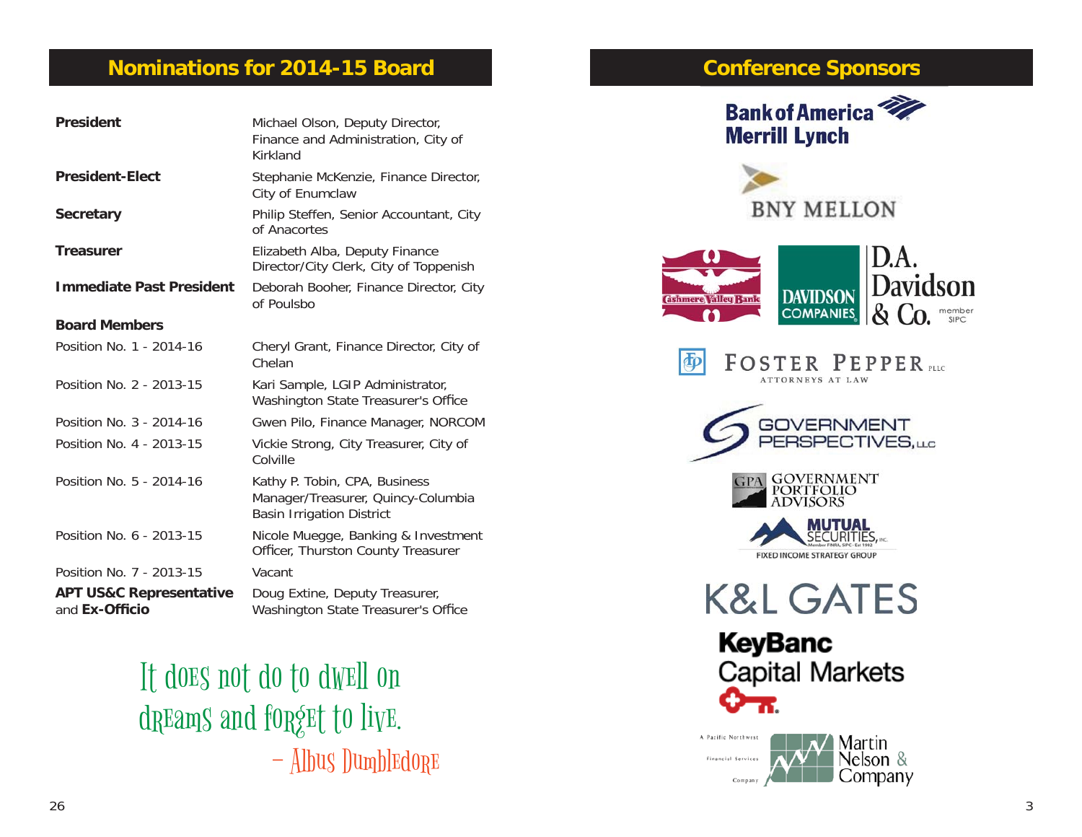### **Nominations for 2014-15 Board**

| <b>President</b>                                     | Michael Olson, Deputy Director,<br>Finance and Administration, City of<br>Kirkland                      |
|------------------------------------------------------|---------------------------------------------------------------------------------------------------------|
| <b>President-Elect</b>                               | Stephanie McKenzie, Finance Director,<br>City of Enumclaw                                               |
| <b>Secretary</b>                                     | Philip Steffen, Senior Accountant, City<br>of Anacortes                                                 |
| <b>Treasurer</b>                                     | Elizabeth Alba, Deputy Finance<br>Director/City Clerk, City of Toppenish                                |
| <b>Immediate Past President</b>                      | Deborah Booher, Finance Director, City<br>of Poulsbo                                                    |
| <b>Board Members</b>                                 |                                                                                                         |
| Position No. 1 - 2014-16                             | Cheryl Grant, Finance Director, City of<br>Chelan                                                       |
| Position No. 2 - 2013-15                             | Kari Sample, LGIP Administrator,<br>Washington State Treasurer's Office                                 |
| Position No. 3 - 2014-16                             | Gwen Pilo, Finance Manager, NORCOM                                                                      |
| Position No. 4 - 2013-15                             | Vickie Strong, City Treasurer, City of<br>Colville                                                      |
| Position No. 5 - 2014-16                             | Kathy P. Tobin, CPA, Business<br>Manager/Treasurer, Quincy-Columbia<br><b>Basin Irrigation District</b> |
| Position No. 6 - 2013-15                             | Nicole Muegge, Banking & Investment<br>Officer, Thurston County Treasurer                               |
| Position No. 7 - 2013-15                             | Vacant                                                                                                  |
| <b>APT US&amp;C Representative</b><br>and Ex-Officio | Doug Extine, Deputy Treasurer,<br>Washington State Treasurer's Office                                   |

It does not do to dwell on dreams and forget to live. – Albus Dumbledore

## **Conference Sponsors Conference**







| FOSTER PEPPER PLEC<br>ATTORNEYS AT LAW |
|----------------------------------------|
| GOVERNMENT<br>PERSPECTIVES,uc          |
| GOVERNMENT<br>PORTFOLIO<br>ADVISORS    |



**K&L GATES** 

**KeyBanc Capital Markets** ω

A Pacific Northwest  $\blacksquare$  Martin **M** Nelson & Financial Services Company  $_{Company}$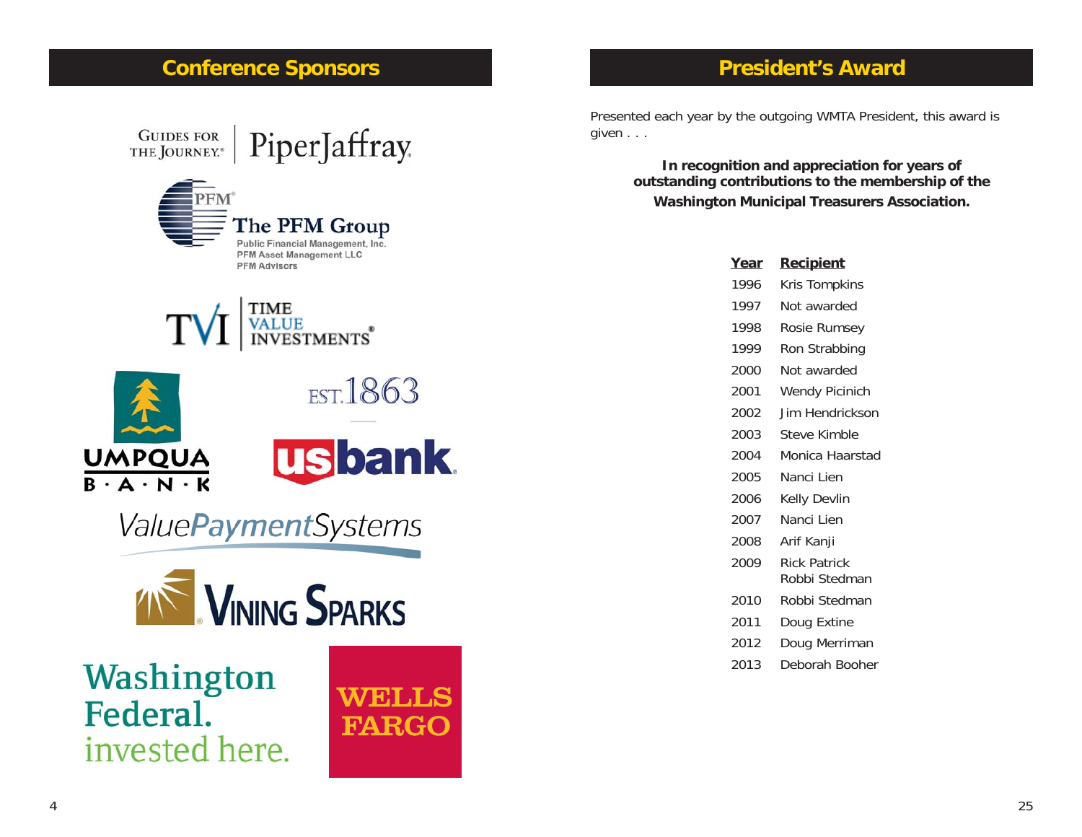### **Conference Sponsors**



**FARGO** 

Washington Federal. invested here.

### **President's Award**

Presented each year by the outgoing WMTA President, this award is given . . .

**In recognition and appreciation for years of outstanding contributions to the membership of the Washington Municipal Treasurers Association.**

| <u>Year</u> | Recipient                            |
|-------------|--------------------------------------|
| 1996        | Kris Tompkins                        |
| 1997        | Not awarded                          |
| 1998        | Rosie Rumsey                         |
| 1999        | Ron Strabbing                        |
| 2000        | Not awarded                          |
| 2001        | <b>Wendy Picinich</b>                |
| 2002        | Jim Hendrickson                      |
| 2003        | Steve Kimble                         |
| 2004        | Monica Haarstad                      |
| 2005        | Nanci Lien                           |
| 2006        | Kelly Devlin                         |
| 2007        | Nanci Lien                           |
| 2008        | Arif Kanji                           |
| 2009        | <b>Rick Patrick</b><br>Robbi Stedman |
|             |                                      |
| 2010        | Robbi Stedman                        |
| 2011        | Doug Extine                          |
| 2012        | Doug Merriman                        |
| 2013        | Deborah Booher                       |
|             |                                      |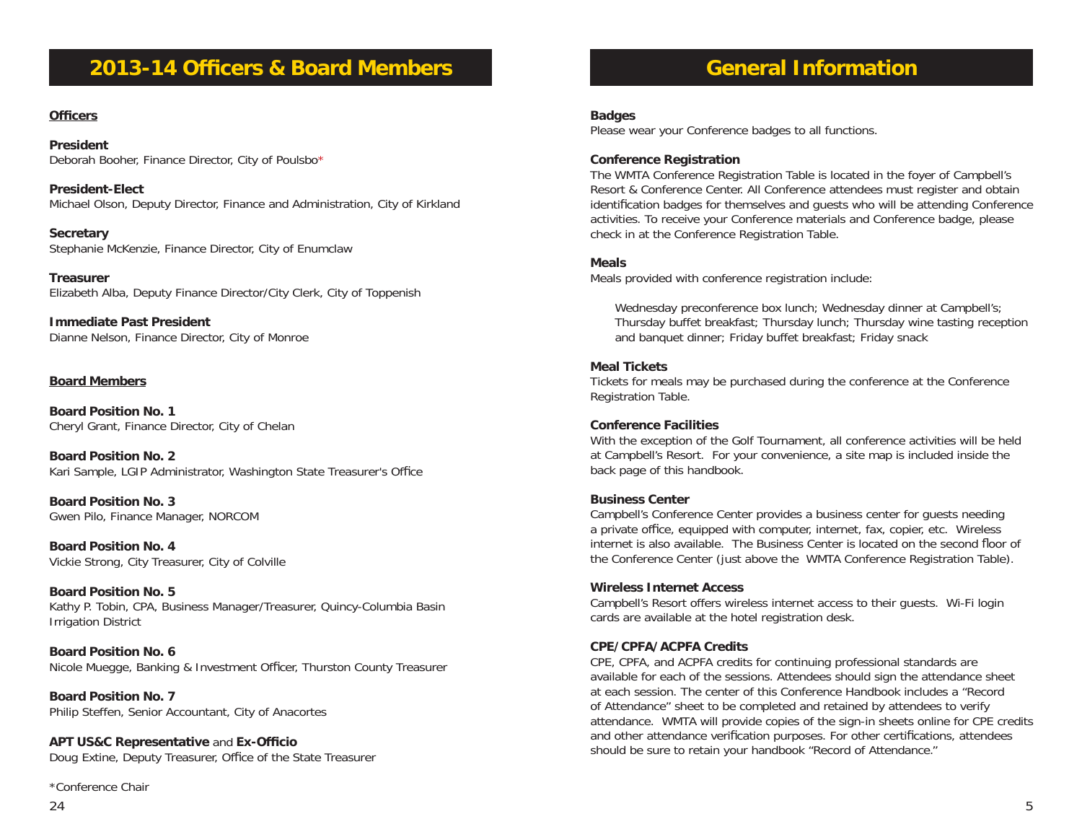### **2013-14 Officers & Board Members**

#### <u>**Officers**</u>

**President**Deborah Booher, Finance Director, City of Poulsbo\*

**President-Elect**Michael Olson, Deputy Director, Finance and Administration, City of Kirkland

**Secretary** Stephanie McKenzie, Finance Director, City of Enumclaw

**Treasurer**Elizabeth Alba, Deputy Finance Director/City Clerk, City of Toppenish

**Immediate Past President**Dianne Nelson, Finance Director, City of Monroe

#### **Board Members**

**Board Position No. 1**Cheryl Grant, Finance Director, City of Chelan

**Board Position No. 2**Kari Sample, LGIP Administrator, Washington State Treasurer's Office

**Board Position No. 3**Gwen Pilo, Finance Manager, NORCOM

**Board Position No. 4**Vickie Strong, City Treasurer, City of Colville

**Board Position No. 5**Kathy P. Tobin, CPA, Business Manager/Treasurer, Quincy-Columbia Basin Irrigation District

**Board Position No. 6**Nicole Muegge, Banking & Investment Officer, Thurston County Treasurer

**Board Position No. 7**Philip Steffen, Senior Accountant, City of Anacortes

**APT US&C Representative and Ex-Officio** Doug Extine, Deputy Treasurer, Office of the State Treasurer

\*Conference Chair

### **General Information**

#### **Badges**

Please wear your Conference badges to all functions.

#### **Conference Registration**

The WMTA Conference Registration Table is located in the foyer of Campbell's Resort & Conference Center. All Conference attendees must register and obtain identification badges for themselves and guests who will be attending Conference activities. To receive your Conference materials and Conference badge, please check in at the Conference Registration Table.

#### **Meals**

Meals provided with conference registration include:

 Wednesday preconference box lunch; Wednesday dinner at Campbell's; Thursday buffet breakfast; Thursday lunch; Thursday wine tasting reception and banquet dinner; Friday buffet breakfast; Friday snack

#### **Meal Tickets**

Tickets for meals may be purchased during the conference at the Conference Registration Table.

#### **Conference Facilities**

With the exception of the Golf Tournament, all conference activities will be held at Campbell's Resort. For your convenience, a site map is included inside the back page of this handbook.

#### **Business Center**

Campbell's Conference Center provides a business center for guests needing a private office, equipped with computer, internet, fax, copier, etc. Wireless internet is also available. The Business Center is located on the second floor of the Conference Center (just above the WMTA Conference Registration Table).

#### **Wireless Internet Access**

Campbell's Resort offers wireless internet access to their guests. Wi-Fi login cards are available at the hotel registration desk.

#### **CPE/CPFA/ACPFA Credits**

CPE, CPFA, and ACPFA credits for continuing professional standards are available for each of the sessions. Attendees should sign the attendance sheet at each session. The center of this Conference Handbook includes a "Record of Attendance" sheet to be completed and retained by attendees to verify attendance. WMTA will provide copies of the sign-in sheets online for CPE credits and other attendance verification purposes. For other certifications, attendees should be sure to retain your handbook "Record of Attendance."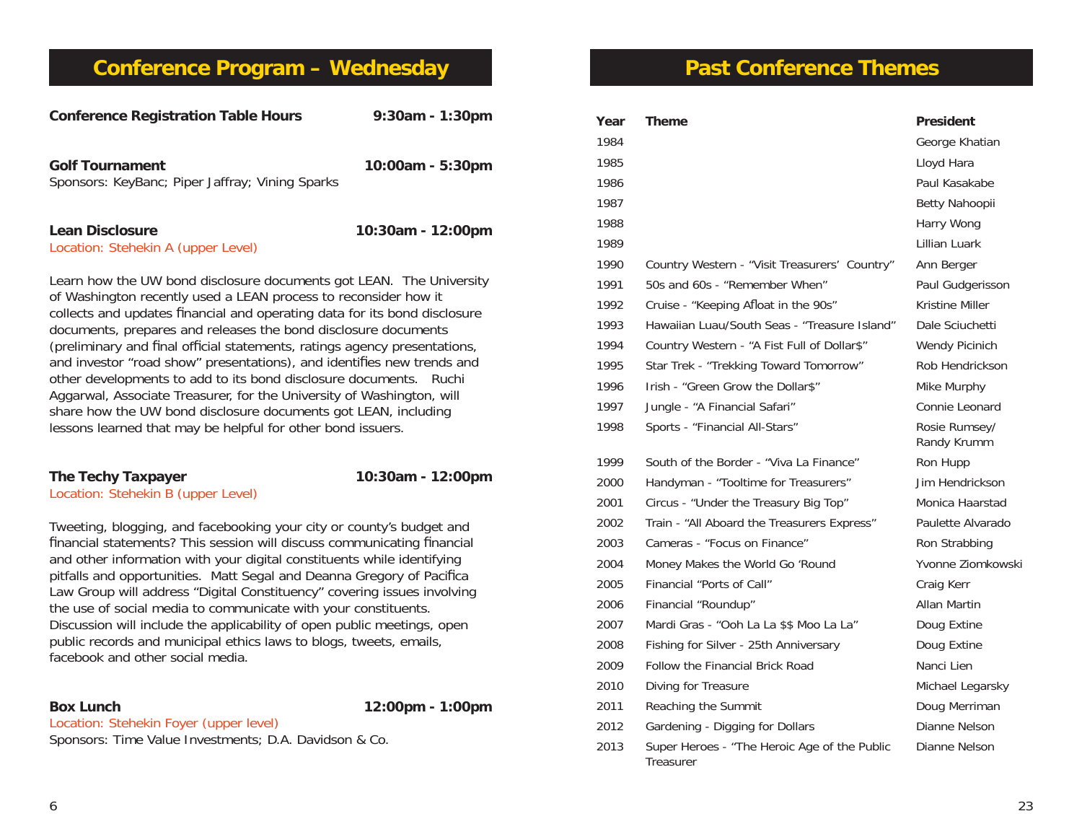### **Conference Program – Wednesday**

| <b>Conference Registration Table Hours</b>                                | $9:30$ am - 1:30pm |
|---------------------------------------------------------------------------|--------------------|
| <b>Golf Tournament</b><br>Sponsors: KeyBanc; Piper Jaffray; Vining Sparks | 10:00am - 5:30pm   |
| Lean Disclosure<br>Location: Stehekin A (upper Level)                     | 10:30am - 12:00pm  |
| Learn how the LIM hond disclosure documents not LEAN The University       |                    |

Learn how the UW bond disclosure documents got LEAN. The University of Washington recently used a LEAN process to reconsider how it collects and updates financial and operating data for its bond disclosure documents, prepares and releases the bond disclosure documents (preliminary and final official statements, ratings agency presentations, and investor "road show" presentations), and identifies new trends and other developments to add to its bond disclosure documents. Ruchi Aggarwal, Associate Treasurer, for the University of Washington, will share how the UW bond disclosure documents got LEAN, including lessons learned that may be helpful for other bond issuers.

### **The Techy Taxpayer 10:30am - 12:00pm**

Location: Stehekin B (upper Level)

Tweeting, blogging, and facebooking your city or county's budget and financial statements? This session will discuss communicating financial and other information with your digital constituents while identifying pitfalls and opportunities. Matt Segal and Deanna Gregory of Pacifica Law Group will address "Digital Constituency" covering issues involving the use of social media to communicate with your constituents. Discussion will include the applicability of open public meetings, open public records and municipal ethics laws to blogs, tweets, emails, facebook and other social media.

**Box Lunch 12:00pm - 1:00pm**

Location: Stehekin Foyer (upper level) Sponsors: Time Value Investments; D.A. Davidson & Co.

### **Past Conference Themes**

| Year | <b>Theme</b>                                  | <b>President</b>             |
|------|-----------------------------------------------|------------------------------|
| 1984 |                                               | George Khatian               |
| 1985 |                                               | Lloyd Hara                   |
| 1986 |                                               | Paul Kasakabe                |
| 1987 |                                               | Betty Nahoopii               |
| 1988 |                                               | Harry Wong                   |
| 1989 |                                               | Lillian Luark                |
| 1990 | Country Western - "Visit Treasurers' Country" | Ann Berger                   |
| 1991 | 50s and 60s - "Remember When"                 | Paul Gudgerisson             |
| 1992 | Cruise - "Keeping Afloat in the 90s"          | Kristine Miller              |
| 1993 | Hawaiian Luau/South Seas - "Treasure Island"  | Dale Sciuchetti              |
| 1994 | Country Western - "A Fist Full of Dollar\$"   | Wendy Picinich               |
| 1995 | Star Trek - "Trekking Toward Tomorrow"        | Rob Hendrickson              |
| 1996 | Irish - "Green Grow the Dollar\$"             | Mike Murphy                  |
| 1997 | Jungle - "A Financial Safari"                 | Connie Leonard               |
| 1998 | Sports - "Financial All-Stars"                | Rosie Rumsey/<br>Randy Krumm |
| 1999 | South of the Border - "Viva La Finance"       | Ron Hupp                     |
| 2000 | Handyman - "Tooltime for Treasurers"          | Jim Hendrickson              |
| 2001 | Circus - "Under the Treasury Big Top"         | Monica Haarstad              |
| 2002 | Train - "All Aboard the Treasurers Express"   | Paulette Alvarado            |
| 2003 | Cameras - "Focus on Finance"                  | Ron Strabbing                |
| 2004 | Money Makes the World Go 'Round               | Yvonne Ziomkowski            |
| 2005 | Financial "Ports of Call"                     | Craig Kerr                   |
| 2006 | Financial "Roundup"                           | Allan Martin                 |
| 2007 | Mardi Gras - "Ooh La La \$\$ Moo La La"       | Doug Extine                  |
| 2008 | Fishing for Silver - 25th Anniversary         | Doug Extine                  |
| 2009 | Follow the Financial Brick Road               | Nanci Lien                   |
| 2010 | Diving for Treasure                           | Michael Legarsky             |
| 2011 | Reaching the Summit                           | Doug Merriman                |
| 2012 | Gardening - Digging for Dollars               | Dianne Nelson                |
| 2013 | Super Heroes - "The Heroic Age of the Public  | Dianne Nelson                |

**Treasurer**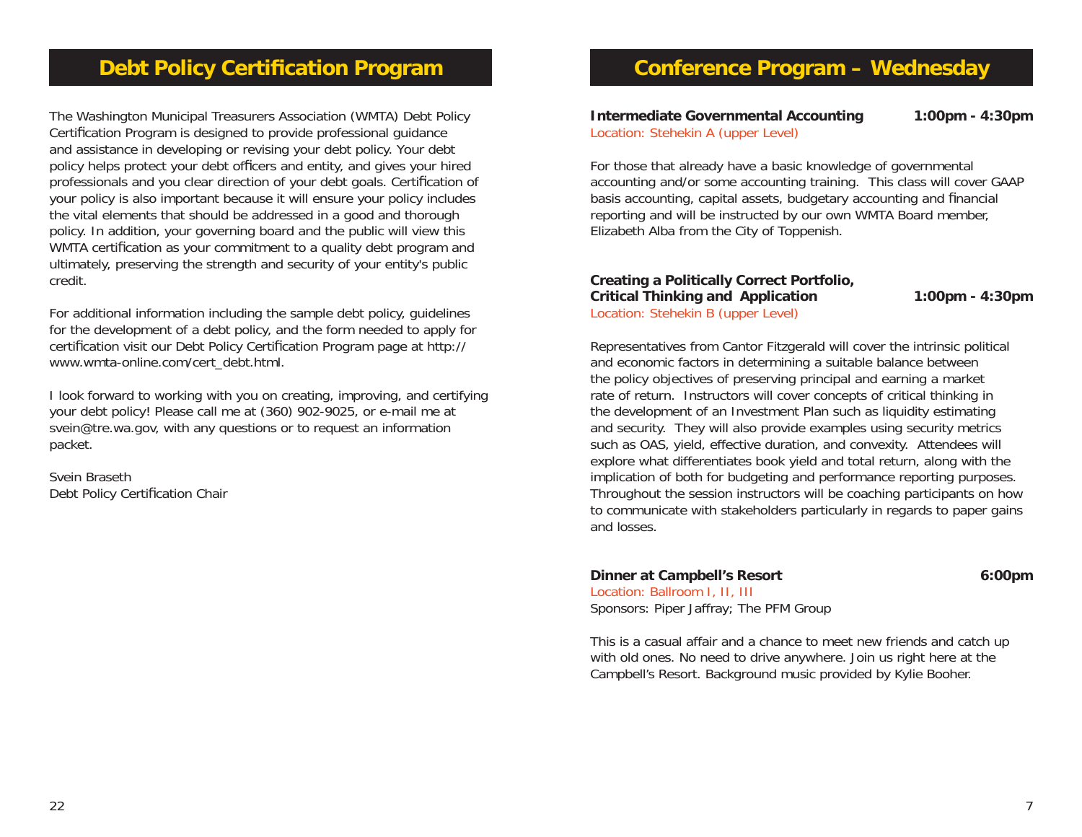### **Debt Policy Certification Program**

The Washington Municipal Treasurers Association (WMTA) Debt Policy Certification Program is designed to provide professional guidance and assistance in developing or revising your debt policy. Your debt policy helps protect your debt officers and entity, and gives your hired professionals and you clear direction of your debt goals. Certification of your policy is also important because it will ensure your policy includes the vital elements that should be addressed in a good and thorough policy. In addition, your governing board and the public will view this WMTA certification as your commitment to a quality debt program and ultimately, preserving the strength and security of your entity's public credit.

For additional information including the sample debt policy, guidelines for the development of a debt policy, and the form needed to apply for certification visit our Debt Policy Certification Program page at http:// www.wmta-online.com/cert\_debt.html.

I look forward to working with you on creating, improving, and certifying your debt policy! Please call me at (360) 902-9025, or e-mail me at svein@tre.wa.gov, with any questions or to request an information packet.

Svein BrasethDebt Policy Certification Chair

### **Conference Program – Wednesday**

**Intermediate Governmental Accounting 1:00pm - 4:30pm** Location: Stehekin A (upper Level)

For those that already have a basic knowledge of governmental accounting and/or some accounting training. This class will cover GAAP basis accounting, capital assets, budgetary accounting and financial reporting and will be instructed by our own WMTA Board member, Elizabeth Alba from the City of Toppenish.

#### **Creating a Politically Correct Portfolio, Critical Thinking and Application 1:00pm - 4:30pm** Location: Stehekin B (upper Level)

Representatives from Cantor Fitzgerald will cover the intrinsic political and economic factors in determining a suitable balance between the policy objectives of preserving principal and earning a market rate of return. Instructors will cover concepts of critical thinking in the development of an Investment Plan such as liquidity estimating and security. They will also provide examples using security metrics such as OAS, yield, effective duration, and convexity. Attendees will explore what differentiates book yield and total return, along with the implication of both for budgeting and performance reporting purposes. Throughout the session instructors will be coaching participants on how to communicate with stakeholders particularly in regards to paper gains and losses.

### **Dinner at Campbell's Resort 6:00pm**

Location: Ballroom I, II, III Sponsors: Piper Jaffray; The PFM Group

This is a casual affair and a chance to meet new friends and catch up with old ones. No need to drive anywhere. Join us right here at the Campbell's Resort. Background music provided by Kylie Booher.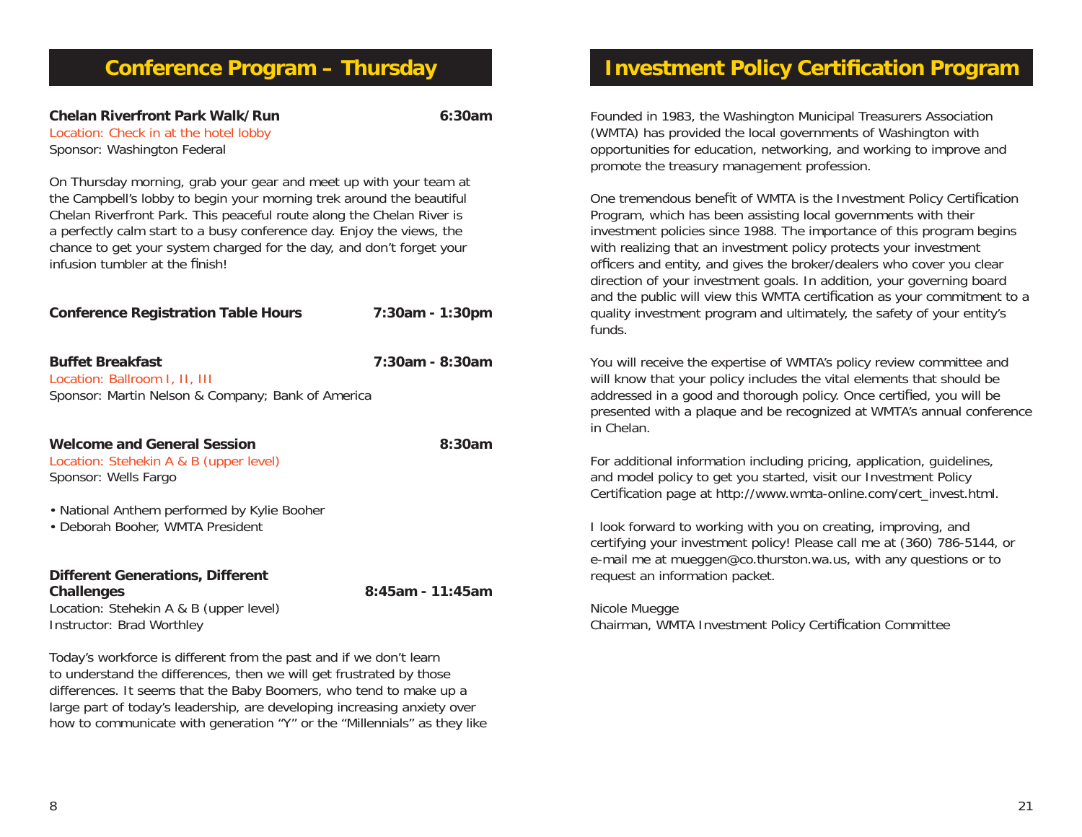**Chelan Riverfront Park Walk/Run 6:30am**Location: Check in at the hotel lobby Sponsor: Washington Federal

On Thursday morning, grab your gear and meet up with your team at the Campbell's lobby to begin your morning trek around the beautiful Chelan Riverfront Park. This peaceful route along the Chelan River is a perfectly calm start to a busy conference day. Enjoy the views, the chance to get your system charged for the day, and don't forget your infusion tumbler at the finish!

| <b>Conference Registration Table Hours</b>                                                                    | 7:30am - 1:30pm     |
|---------------------------------------------------------------------------------------------------------------|---------------------|
| <b>Buffet Breakfast</b><br>Location: Ballroom I, II, III<br>Sponsor: Martin Nelson & Company; Bank of America | 7:30am - 8:30am     |
| <b>Welcome and General Session</b><br>Location: Stehekin A & B (upper level)<br>Sponsor: Wells Fargo          | 8:30am              |
| • National Anthem performed by Kylie Booher<br>• Deborah Booher, WMTA President                               |                     |
| <b>Different Generations, Different</b><br><b>Challenges</b>                                                  | $8:45$ am - 11:45am |

Location: Stehekin A & B (upper level) Instructor: Brad Worthley

Today's workforce is different from the past and if we don't learn to understand the differences, then we will get frustrated by those differences. It seems that the Baby Boomers, who tend to make up a large part of today's leadership, are developing increasing anxiety over how to communicate with generation "Y" or the "Millennials" as they like

### **Investment Policy Certification Program**

Founded in 1983, the Washington Municipal Treasurers Association (WMTA) has provided the local governments of Washington with opportunities for education, networking, and working to improve and promote the treasury management profession.

One tremendous benefit of WMTA is the Investment Policy Certification Program, which has been assisting local governments with their investment policies since 1988. The importance of this program begins with realizing that an investment policy protects your investment officers and entity, and gives the broker/dealers who cover you clear direction of your investment goals. In addition, your governing board and the public will view this WMTA certification as your commitment to a quality investment program and ultimately, the safety of your entity's funds.

You will receive the expertise of WMTA's policy review committee and will know that your policy includes the vital elements that should be addressed in a good and thorough policy. Once certified, you will be presented with a plaque and be recognized at WMTA's annual conference in Chelan.

For additional information including pricing, application, guidelines, and model policy to get you started, visit our Investment Policy Certification page at http://www.wmta-online.com/cert\_invest.html.

I look forward to working with you on creating, improving, and certifying your investment policy! Please call me at (360) 786-5144, or e-mail me at mueggen@co.thurston.wa.us, with any questions or to request an information packet.

Nicole Muegge Chairman, WMTA Investment Policy Certification Committee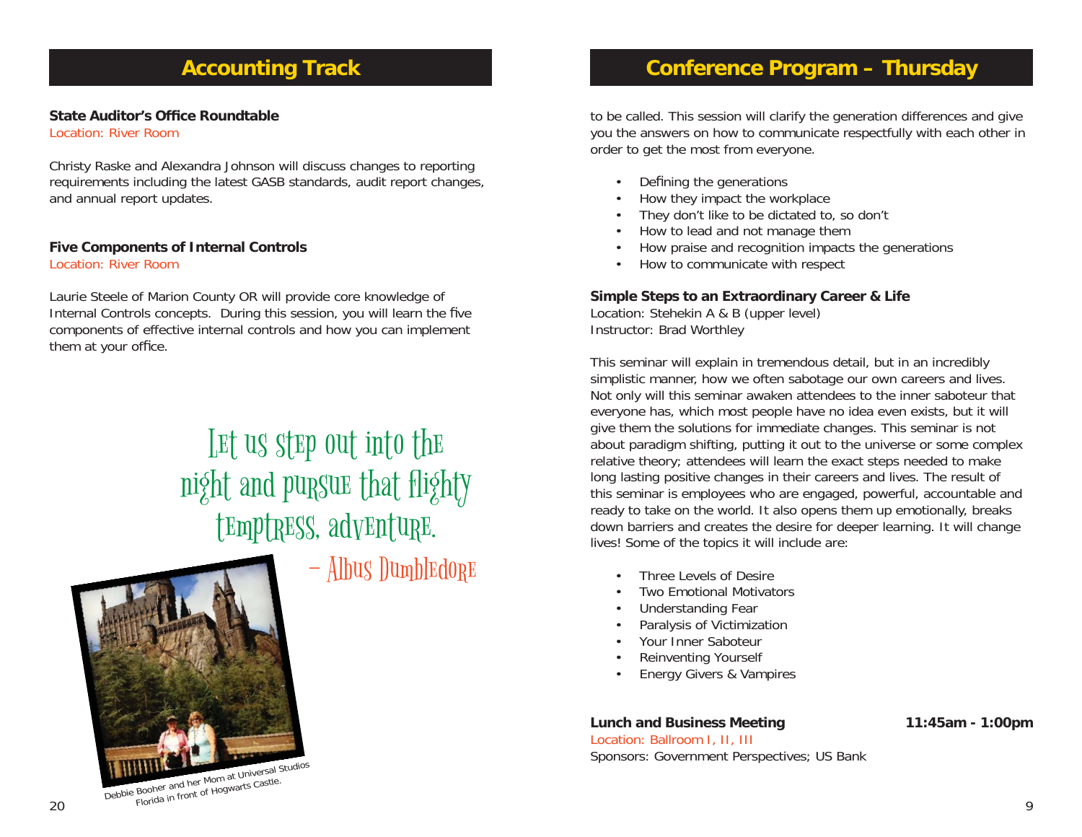### **Accounting Track**

#### **State Auditor's Office Roundtable**

Location: River Room

Christy Raske and Alexandra Johnson will discuss changes to reporting requirements including the latest GASB standards, audit report changes, and annual report updates.

#### **Five Components of Internal Controls** Location: River Room

Laurie Steele of Marion County OR will provide core knowledge of Internal Controls concepts. During this session, you will learn the five components of effective internal controls and how you can implement them at your office.

# Let us step out into the night and pursue that flighty temptress, adventure.

– Albus Dumbledore



### **Conference Program – Thursday**

to be called. This session will clarify the generation differences and give you the answers on how to communicate respectfully with each other in order to get the most from everyone.

- Defining the generations
- How they impact the workplace
- They don't like to be dictated to, so don't
- How to lead and not manage them
- How praise and recognition impacts the generations
- How to communicate with respect

#### **Simple Steps to an Extraordinary Career & Life**

Location: Stehekin A & B (upper level) Instructor: Brad Worthley

This seminar will explain in tremendous detail, but in an incredibly simplistic manner, how we often sabotage our own careers and lives. Not only will this seminar awaken attendees to the inner saboteur that everyone has, which most people have no idea even exists, but it will give them the solutions for immediate changes. This seminar is not about paradigm shifting, putting it out to the universe or some complex relative theory; attendees will learn the exact steps needed to make long lasting positive changes in their careers and lives. The result of this seminar is employees who are engaged, powerful, accountable and ready to take on the world. It also opens them up emotionally, breaks down barriers and creates the desire for deeper learning. It will change lives! Some of the topics it will include are:

- Three Levels of Desire
- **Two Emotional Motivators**
- Understanding Fear
- Paralysis of Victimization
- Your Inner Saboteur
- Reinventing Yourself
- Energy Givers & Vampires

### **Lunch and Business Meeting 11:45am - 1:00pm**

Sponsors: Government Perspectives; US Bank

Location: Ballroom I, II, III

20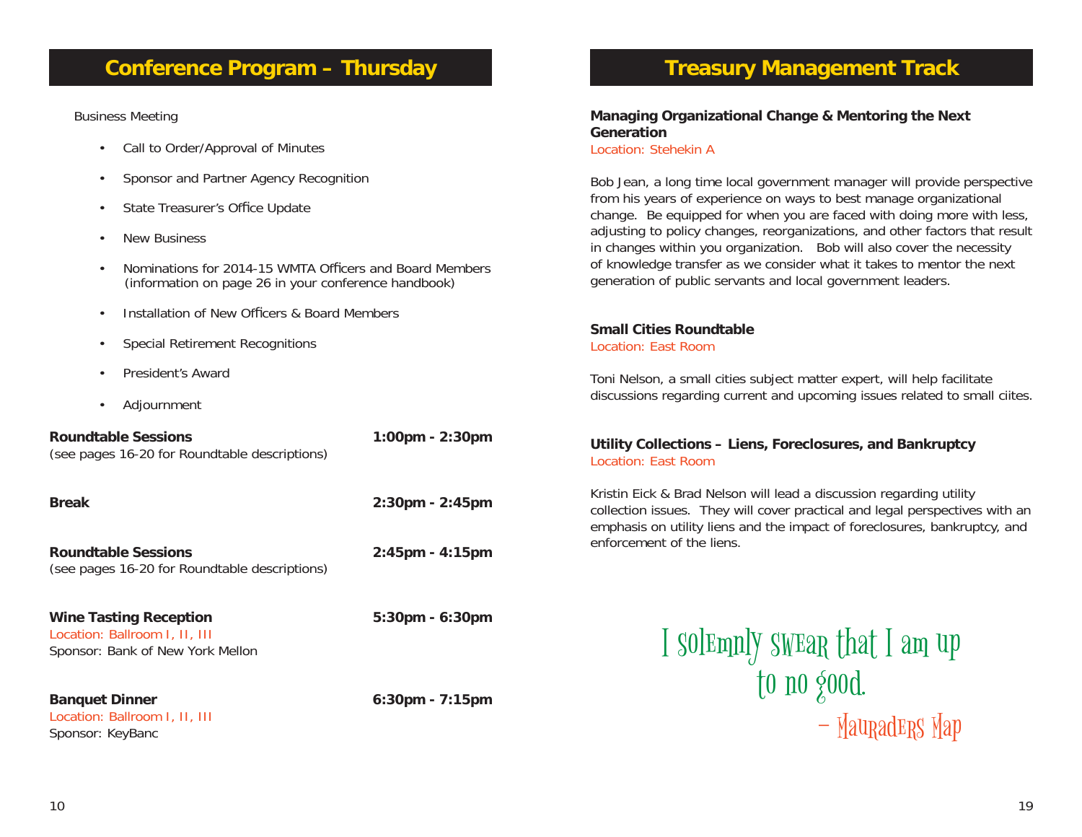### **Conference Program – Thursday**

#### Business Meeting

- Call to Order/Approval of Minutes
- Sponsor and Partner Agency Recognition
- State Treasurer's Office Update
- New Business
- Nominations for 2014-15 WMTA Officers and Board Members (information on page 26 in your conference handbook)
- Installation of New Officers & Board Members
- Special Retirement Recognitions
- President's Award
- Adjournment

**Roundtable Sessions 1:00pm - 2:30pm** (see pages 16-20 for Roundtable descriptions)

**Break 2:30pm - 2:45pm**

**Roundtable Sessions 2:45pm - 4:15pm** (see pages 16-20 for Roundtable descriptions)

**Wine Tasting Reception 6:30pm - 6:30pm** Location: Ballroom I, II, III Sponsor: Bank of New York Mellon

**Banquet Dinner 6:30pm - 7:15pm**

Location: Ballroom I, II, III Sponsor: KeyBanc

## **Treasury Management Track**

**Managing Organizational Change & Mentoring the Next Generation**Location: Stehekin A

Bob Jean, a long time local government manager will provide perspective from his years of experience on ways to best manage organizational change. Be equipped for when you are faced with doing more with less, adjusting to policy changes, reorganizations, and other factors that result in changes within you organization. Bob will also cover the necessity of knowledge transfer as we consider what it takes to mentor the next generation of public servants and local government leaders.

#### **Small Cities Roundtable**Location: East Room

Toni Nelson, a small cities subject matter expert, will help facilitate discussions regarding current and upcoming issues related to small ciites.

#### **Utility Collections – Liens, Foreclosures, and Bankruptcy** Location: East Room

Kristin Eick & Brad Nelson will lead a discussion regarding utility collection issues. They will cover practical and legal perspectives with an emphasis on utility liens and the impact of foreclosures, bankruptcy, and enforcement of the liens.

> I solemnly swear that I am up to no good. – Mauraders Map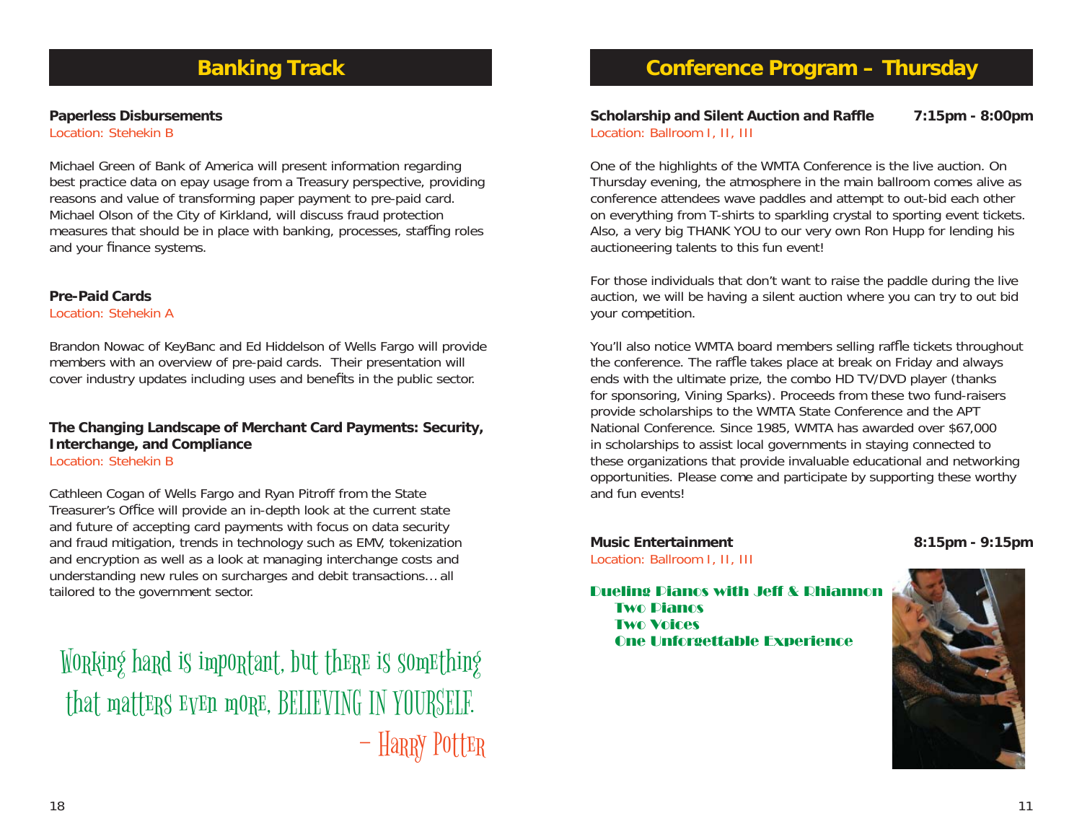### **Banking Track**

#### **Paperless Disbursements**

Location: Stehekin B

Michael Green of Bank of America will present information regarding best practice data on epay usage from a Treasury perspective, providing reasons and value of transforming paper payment to pre-paid card. Michael Olson of the City of Kirkland, will discuss fraud protection measures that should be in place with banking, processes, staffing roles and your finance systems.

#### **Pre-Paid Cards**

Location: Stehekin A

Brandon Nowac of KeyBanc and Ed Hiddelson of Wells Fargo will provide members with an overview of pre-paid cards. Their presentation will cover industry updates including uses and benefits in the public sector.

#### **The Changing Landscape of Merchant Card Payments: Security, Interchange, and Compliance** Location: Stehekin B

Cathleen Cogan of Wells Fargo and Ryan Pitroff from the State Treasurer's Office will provide an in-depth look at the current state and future of accepting card payments with focus on data security and fraud mitigation, trends in technology such as EMV, tokenization and encryption as well as a look at managing interchange costs and understanding new rules on surcharges and debit transactions… all tailored to the government sector.

Working hard is important, but there is something that matters even more, BELIEVING IN YOURSELF. – Harry Potter

### **Conference Program – Thursday**

#### **Scholarship and Silent Auction and Raffle 7:15pm - 8:00pm** Location: Ballroom I, II, III

One of the highlights of the WMTA Conference is the live auction. On Thursday evening, the atmosphere in the main ballroom comes alive as conference attendees wave paddles and attempt to out-bid each other on everything from T-shirts to sparkling crystal to sporting event tickets. Also, a very big THANK YOU to our very own Ron Hupp for lending his auctioneering talents to this fun event!

For those individuals that don't want to raise the paddle during the live auction, we will be having a silent auction where you can try to out bid your competition.

You'll also notice WMTA board members selling raffle tickets throughout the conference. The raffle takes place at break on Friday and always ends with the ultimate prize, the combo HD TV/DVD player (thanks for sponsoring, Vining Sparks). Proceeds from these two fund-raisers provide scholarships to the WMTA State Conference and the APT National Conference. Since 1985, WMTA has awarded over \$67,000 in scholarships to assist local governments in staying connected to these organizations that provide invaluable educational and networking opportunities. Please come and participate by supporting these worthy and fun events!

**Music Entertainment** 8:15pm - 9:15pm Location: Ballroom I, II, III

#### Dueling Pianos with Jeff & Rhiannon Two Pianos Two VoicesOne Unforgettable Experience

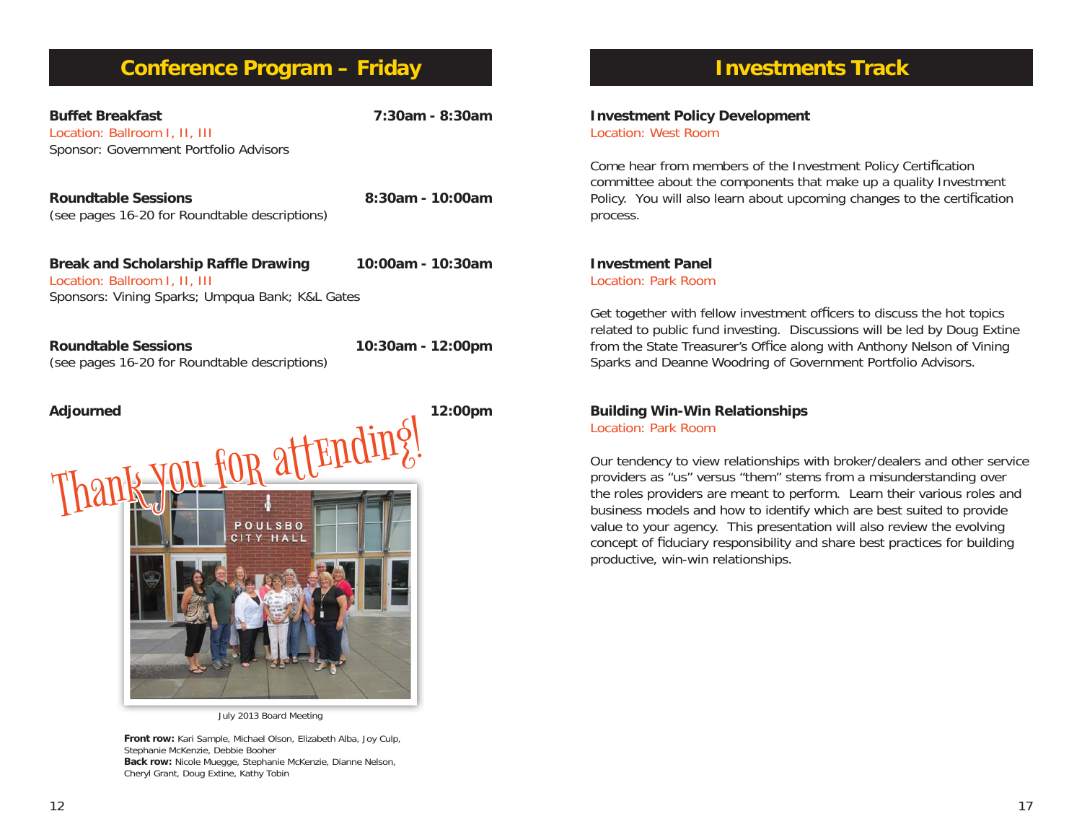### **Conference Program – Friday**

**Buffet Breakfast 7:30am - 8:30am**Location: Ballroom I, II, III Sponsor: Government Portfolio Advisors

**Roundtable Sessions 8:30am - 10:00am**(see pages 16-20 for Roundtable descriptions)

**Break and Scholarship Raffle Drawing 10:00am - 10:30am** Location: Ballroom I, II, III Sponsors: Vining Sparks; Umpqua Bank; K&L Gates

**Roundtable Sessions 10:30am - 12:00pm** (see pages 16-20 for Roundtable descriptions)

Adjourned 2:00pm



July 2013 Board Meeting

**Front row:** Kari Sample, Michael Olson, Elizabeth Alba, Joy Culp, Stephanie McKenzie, Debbie Booher **Back row:** Nicole Muegge, Stephanie McKenzie, Dianne Nelson, Cheryl Grant, Doug Extine, Kathy Tobin

### **Investments Track**

**Investment Policy Development** Location: West Room

Come hear from members of the Investment Policy Certification committee about the components that make up a quality Investment Policy. You will also learn about upcoming changes to the certification process.

#### **Investment Panel**Location: Park Room

Get together with fellow investment officers to discuss the hot topics related to public fund investing. Discussions will be led by Doug Extine from the State Treasurer's Office along with Anthony Nelson of Vining Sparks and Deanne Woodring of Government Portfolio Advisors.

### **Building Win-Win Relationships**

Location: Park Room

Our tendency to view relationships with broker/dealers and other service providers as "us" versus "them" stems from a misunderstanding over the roles providers are meant to perform. Learn their various roles and business models and how to identify which are best suited to provide value to your agency. This presentation will also review the evolving concept of fiduciary responsibility and share best practices for building productive, win-win relationships.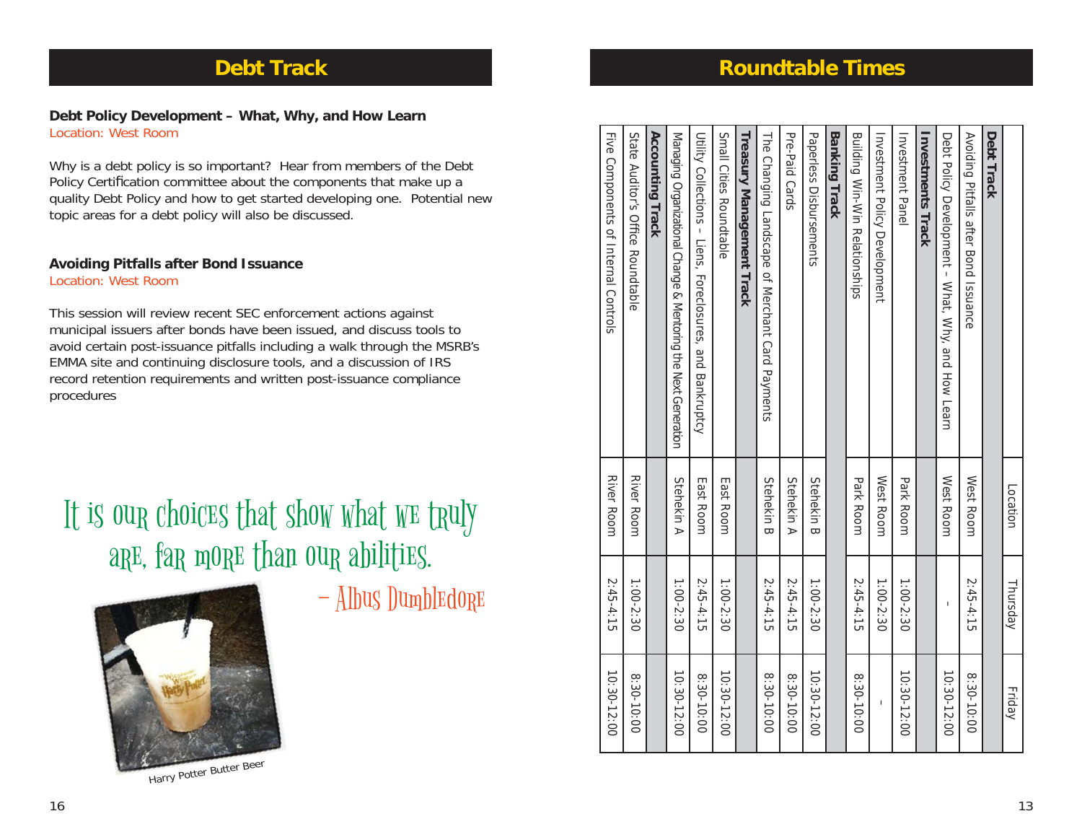### **Roundtable Times**

### **Debt Track**

**Debt Policy Development – What, Why, and How Learn** Location: West Room

Why is a debt policy is so important? Hear from members of the Debt Policy Certification committee about the components that make up a quality Debt Policy and how to get started developing one. Potential new topic areas for a debt policy will also be discussed.

#### **Avoiding Pitfalls after Bond Issuance** Location: West Room

This session will review recent SEC enforcement actions against municipal issuers after bonds have been issued, and discuss tools to avoid certain post-issuance pitfalls including a walk through the MSRB's EMMA site and continuing disclosure tools, and a discussion of IRS record retention requirements and written post-issuance compliance procedures

# It is oug choices that show what we truly are, far more than our abilities.

– Albus Dumbledore



Harry Potter Butter Beer

|                                                                | Location          | Thursday    | Friday      |
|----------------------------------------------------------------|-------------------|-------------|-------------|
| Debt Track                                                     |                   |             |             |
| Avoiding Pitfalls after Bond Issuance                          | West Room         | $2:45-4:15$ | 8:30-10:00  |
| Debt Policy Development - What, Why, and How Learn             | West Room         | I           | 10:30-12:00 |
| <b>Investments Track</b>                                       |                   |             |             |
| Investment Panel                                               | Park Room         | 1:00-2:30   | 10:30-12:00 |
| <b>Investment Policy Development</b>                           | West Room         | 1:00-2:30   |             |
| Building Vir-Vir Relationships                                 | Park Room         | $2:45-4:15$ | 8:30-10:00  |
| <b>Banking Track</b>                                           |                   |             |             |
| Paperless Dispursements                                        | <b>Stehekin B</b> | 1:00-2:30   | 10:30-12:00 |
| Pre-Paid Cards                                                 | Stehekin A        | $2:45-4:15$ | 8:30-10:00  |
| The Changing Landscape of Merchant Card Payments               | <b>Stehekin B</b> | $2:45-4:15$ | 8:30-10:00  |
| Treasury Management Track                                      |                   |             |             |
| Small Cities Roundtable                                        | East Room         | 1:00-2:30   | 10:30-12:00 |
| Utility Collections – Liens, Foreclosures, and Bankruptcy      | East Room         | 2:45-4:15   | 8:30-10:00  |
| Managing Organizational Change & Mentoring the Next Generation | Stehekin A        | 1:00-2:30   | 10:30-12:00 |
| <b>Accounting Track</b>                                        |                   |             |             |
| State Auditor's Office Roundtable                              | River Room        | 1:00-2:30   | 8:30-10:00  |
| Five Components of Internal Controls                           | River Room        | $2:45-4:15$ | 10:30-12:00 |
|                                                                |                   |             |             |